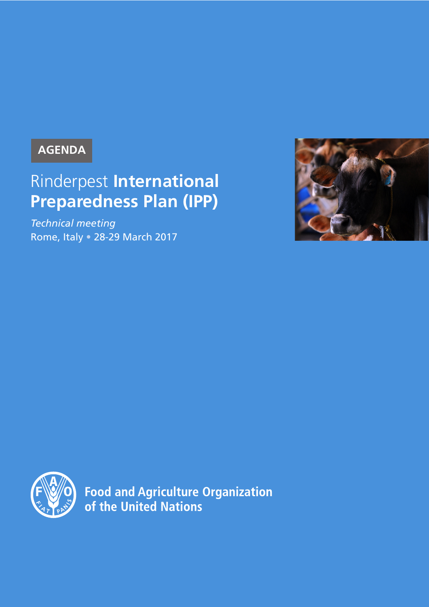# **AGENDA**

# Rinderpest **International Preparedness Plan (IPP)**

*Technical meeting* Rome, Italy • 28-29 March 2017





**Food and Agriculture Organization** of the United Nations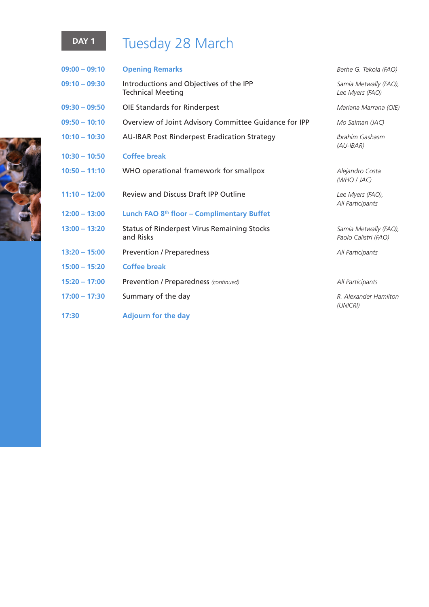# DAY 1 Tuesday 28 March

| $09:00 - 09:10$ | <b>Opening Remarks</b>                                              | Berhe G. Tekola (FAO)                         |
|-----------------|---------------------------------------------------------------------|-----------------------------------------------|
| $09:10 - 09:30$ | Introductions and Objectives of the IPP<br><b>Technical Meeting</b> | Samia Metwally (FAO),<br>Lee Myers (FAO)      |
| $09:30 - 09:50$ | OIE Standards for Rinderpest                                        | Mariana Marrana (OIE)                         |
| $09:50 - 10:10$ | Overview of Joint Advisory Committee Guidance for IPP               | Mo Salman (JAC)                               |
| $10:10 - 10:30$ | <b>AU-IBAR Post Rinderpest Eradication Strategy</b>                 | Ibrahim Gashasm<br>$(AU$ -IBAR)               |
| $10:30 - 10:50$ | <b>Coffee break</b>                                                 |                                               |
| $10:50 - 11:10$ | WHO operational framework for smallpox                              | Alejandro Costa<br>(WHO I JAC)                |
| $11:10 - 12:00$ | <b>Review and Discuss Draft IPP Outline</b>                         | Lee Myers (FAO),<br>All Participants          |
| $12:00 - 13:00$ | Lunch FAO 8 <sup>th</sup> floor - Complimentary Buffet              |                                               |
| $13:00 - 13:20$ | <b>Status of Rinderpest Virus Remaining Stocks</b><br>and Risks     | Samia Metwally (FAO),<br>Paolo Calistri (FAO) |
| $13:20 - 15:00$ | <b>Prevention / Preparedness</b>                                    | All Participants                              |
| $15:00 - 15:20$ | <b>Coffee break</b>                                                 |                                               |
| $15:20 - 17:00$ | Prevention / Preparedness (continued)                               | All Participants                              |
| $17:00 - 17:30$ | Summary of the day                                                  | R. Alexander Hamilton<br>(UNICRI)             |
| 17:30           | <b>Adjourn for the day</b>                                          |                                               |

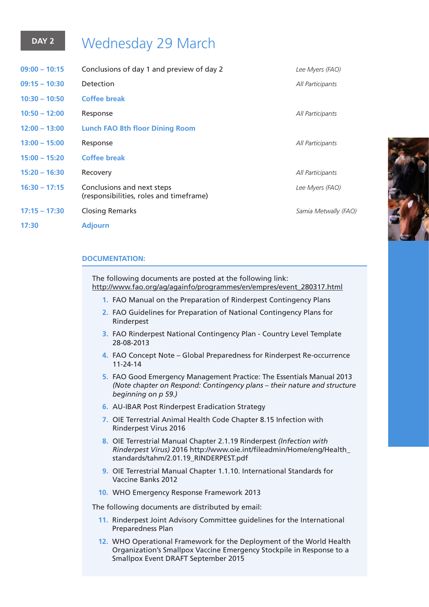# **DAY 2** Wednesday 29 March

| $09:00 - 10:15$ | Conclusions of day 1 and preview of day 2                             | Lee Myers (FAO)      |
|-----------------|-----------------------------------------------------------------------|----------------------|
| $09:15 - 10:30$ | Detection                                                             | All Participants     |
| $10:30 - 10:50$ | <b>Coffee break</b>                                                   |                      |
| $10:50 - 12:00$ | Response                                                              | All Participants     |
| $12:00 - 13:00$ | <b>Lunch FAO 8th floor Dining Room</b>                                |                      |
| $13:00 - 15:00$ | Response                                                              | All Participants     |
| $15:00 - 15:20$ | <b>Coffee break</b>                                                   |                      |
| $15:20 - 16:30$ | Recovery                                                              | All Participants     |
| $16:30 - 17:15$ | Conclusions and next steps<br>(responsibilities, roles and timeframe) | Lee Myers (FAO)      |
| $17:15 - 17:30$ | <b>Closing Remarks</b>                                                | Samia Metwally (FAO) |
| 17:30           | <b>Adjourn</b>                                                        |                      |
|                 |                                                                       |                      |

# **DOCUMENTATION:**

The following documents are posted at the following link: http://www.fao.org/ag/againfo/programmes/en/empres/event\_280317.html

- **1.** FAO Manual on the Preparation of Rinderpest Contingency Plans
- **2.** FAO Guidelines for Preparation of National Contingency Plans for Rinderpest
- **3.** FAO Rinderpest National Contingency Plan Country Level Template 28-08-2013
- **4.** FAO Concept Note Global Preparedness for Rinderpest Re-occurrence 11-24-14
- **5.** FAO Good Emergency Management Practice: The Essentials Manual 2013 *(Note chapter on Respond: Contingency plans – their nature and structure beginning on p 59.)*
- **6.** AU-IBAR Post Rinderpest Eradication Strategy
- **7.** OIE Terrestrial Animal Health Code Chapter 8.15 Infection with Rinderpest Virus 2016
- **8.** OIE Terrestrial Manual Chapter 2.1.19 Rinderpest *(Infection with Rinderpest Virus)* 2016 http://www.oie.int/fileadmin/Home/eng/Health\_ standards/tahm/2.01.19\_RINDERPEST.pdf
- **9.** OIE Terrestrial Manual Chapter 1.1.10. International Standards for Vaccine Banks 2012
- **10.** WHO Emergency Response Framework 2013

The following documents are distributed by email:

- **11.** Rinderpest Joint Advisory Committee guidelines for the International Preparedness Plan
- **12.** WHO Operational Framework for the Deployment of the World Health Organization's Smallpox Vaccine Emergency Stockpile in Response to a Smallpox Event DRAFT September 2015